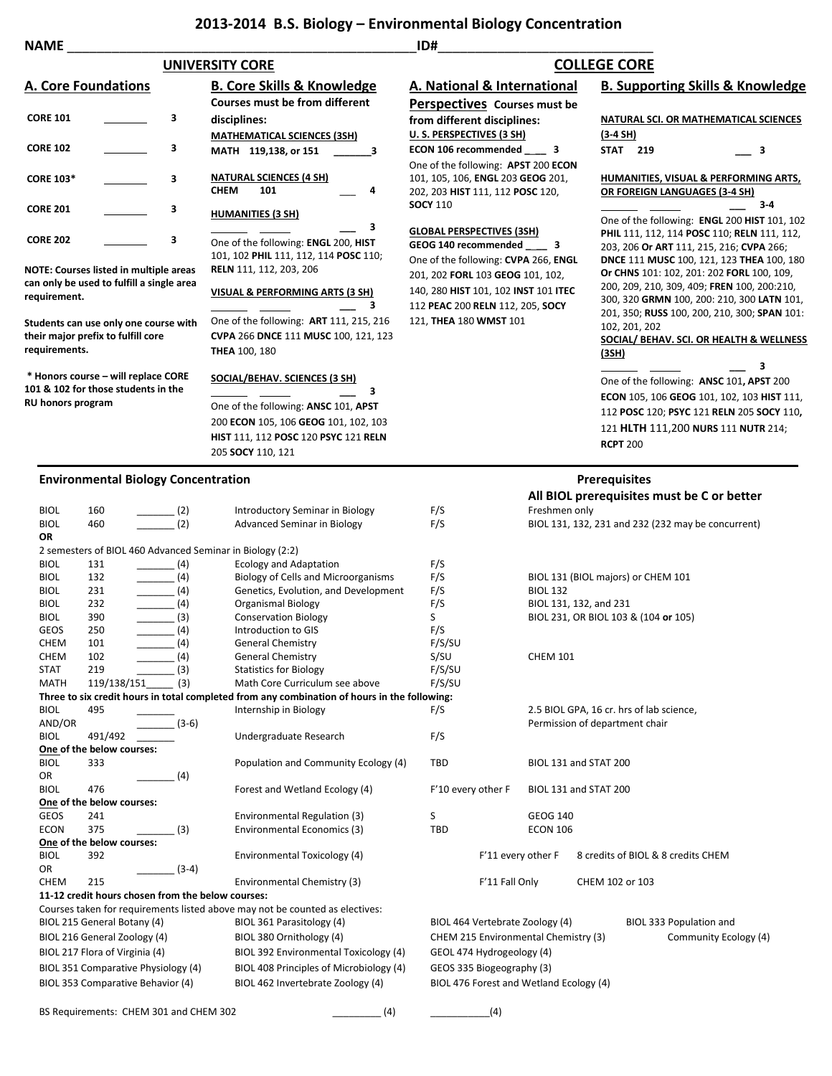## **2013-2014 B.S. Biology – Environmental Biology Concentration**

| ID#<br><b>NAME</b>                                                                                                     |                                                       |                   |                                                                                                                       |                                      |                                      |                                                                                           |  |
|------------------------------------------------------------------------------------------------------------------------|-------------------------------------------------------|-------------------|-----------------------------------------------------------------------------------------------------------------------|--------------------------------------|--------------------------------------|-------------------------------------------------------------------------------------------|--|
| <b>UNIVERSITY CORE</b>                                                                                                 |                                                       |                   |                                                                                                                       | <b>COLLEGE CORE</b>                  |                                      |                                                                                           |  |
| A. Core Foundations                                                                                                    |                                                       |                   | <b>B. Core Skills &amp; Knowledge</b>                                                                                 | A. National & International          |                                      | <b>B. Supporting Skills &amp; Knowledge</b>                                               |  |
|                                                                                                                        |                                                       |                   | <b>Courses must be from different</b>                                                                                 | Perspectives Courses must be         |                                      |                                                                                           |  |
| <b>CORE 101</b>                                                                                                        |                                                       | 3                 | disciplines:                                                                                                          | from different disciplines:          |                                      | NATURAL SCI. OR MATHEMATICAL SCIENCES                                                     |  |
|                                                                                                                        |                                                       |                   | <b>MATHEMATICAL SCIENCES (3SH)</b>                                                                                    | U.S. PERSPECTIVES (3 SH)             |                                      | $(3-4 SH)$                                                                                |  |
| <b>CORE 102</b>                                                                                                        |                                                       | 3                 | MATH 119,138, or 151<br>з                                                                                             | ECON 106 recommended ______ 3        |                                      | <b>STAT 219</b><br>3                                                                      |  |
|                                                                                                                        |                                                       |                   |                                                                                                                       | One of the following: APST 200 ECON  |                                      |                                                                                           |  |
| <b>CORE 103*</b>                                                                                                       |                                                       | 3                 | <b>NATURAL SCIENCES (4 SH)</b>                                                                                        | 101, 105, 106, ENGL 203 GEOG 201,    |                                      | HUMANITIES, VISUAL & PERFORMING ARTS,                                                     |  |
|                                                                                                                        |                                                       |                   | <b>CHEM</b><br>101<br>4                                                                                               | 202, 203 HIST 111, 112 POSC 120,     |                                      | OR FOREIGN LANGUAGES (3-4 SH)<br>$3-4$                                                    |  |
| <b>CORE 201</b>                                                                                                        |                                                       | з                 | <b>HUMANITIES (3 SH)</b>                                                                                              | <b>SOCY 110</b>                      |                                      | One of the following: ENGL 200 HIST 101, 102                                              |  |
|                                                                                                                        |                                                       |                   | з                                                                                                                     | <b>GLOBAL PERSPECTIVES (3SH)</b>     |                                      | PHIL 111, 112, 114 POSC 110; RELN 111, 112,                                               |  |
| <b>CORE 202</b><br>3                                                                                                   |                                                       |                   | One of the following: ENGL 200, HIST                                                                                  | GEOG 140 recommended _____ 3         |                                      | 203, 206 Or ART 111, 215, 216; CVPA 266;                                                  |  |
|                                                                                                                        |                                                       |                   | 101, 102 PHIL 111, 112, 114 POSC 110;<br>RELN 111, 112, 203, 206                                                      | One of the following: CVPA 266, ENGL |                                      | <b>DNCE 111 MUSC 100, 121, 123 THEA 100, 180</b>                                          |  |
| <b>NOTE: Courses listed in multiple areas</b><br>can only be used to fulfill a single area                             |                                                       |                   |                                                                                                                       | 201, 202 FORL 103 GEOG 101, 102,     |                                      | Or CHNS 101: 102, 201: 202 FORL 100, 109,                                                 |  |
| requirement.                                                                                                           |                                                       |                   | <b>VISUAL &amp; PERFORMING ARTS (3 SH)</b>                                                                            | 140, 280 HIST 101, 102 INST 101 ITEC |                                      | 200, 209, 210, 309, 409; FREN 100, 200:210,<br>300, 320 GRMN 100, 200: 210, 300 LATN 101, |  |
|                                                                                                                        |                                                       |                   | з                                                                                                                     | 112 PEAC 200 RELN 112, 205, SOCY     |                                      | 201, 350; RUSS 100, 200, 210, 300; SPAN 101:                                              |  |
| Students can use only one course with                                                                                  |                                                       |                   | One of the following: <b>ART</b> 111, 215, 216                                                                        | 121, THEA 180 WMST 101               |                                      | 102, 201, 202                                                                             |  |
| their major prefix to fulfill core                                                                                     |                                                       |                   | CVPA 266 DNCE 111 MUSC 100, 121, 123                                                                                  |                                      |                                      | SOCIAL/ BEHAV. SCI. OR HEALTH & WELLNESS                                                  |  |
| requirements.                                                                                                          |                                                       |                   | <b>THEA 100, 180</b>                                                                                                  |                                      |                                      | <u>(3SH)</u>                                                                              |  |
| * Honors course - will replace CORE                                                                                    |                                                       |                   | SOCIAL/BEHAV. SCIENCES (3 SH)                                                                                         |                                      |                                      | 3                                                                                         |  |
| 101 & 102 for those students in the                                                                                    |                                                       |                   | з                                                                                                                     |                                      |                                      | One of the following: ANSC 101, APST 200                                                  |  |
| RU honors program                                                                                                      |                                                       |                   | One of the following: ANSC 101, APST                                                                                  |                                      |                                      | ECON 105, 106 GEOG 101, 102, 103 HIST 111,                                                |  |
|                                                                                                                        |                                                       |                   | 200 ECON 105, 106 GEOG 101, 102, 103                                                                                  |                                      |                                      | 112 POSC 120; PSYC 121 RELN 205 SOCY 110,                                                 |  |
|                                                                                                                        |                                                       |                   | <b>HIST 111, 112 POSC 120 PSYC 121 RELN</b>                                                                           |                                      |                                      | 121 HLTH 111,200 NURS 111 NUTR 214;                                                       |  |
|                                                                                                                        |                                                       |                   | 205 SOCY 110, 121                                                                                                     |                                      |                                      | <b>RCPT 200</b>                                                                           |  |
|                                                                                                                        |                                                       |                   |                                                                                                                       |                                      |                                      |                                                                                           |  |
|                                                                                                                        | <b>Environmental Biology Concentration</b>            |                   |                                                                                                                       |                                      |                                      | <b>Prerequisites</b>                                                                      |  |
|                                                                                                                        |                                                       |                   |                                                                                                                       |                                      |                                      | All BIOL prerequisites must be C or better                                                |  |
| <b>BIOL</b>                                                                                                            | 160                                                   | $\frac{1}{2}$ (2) | Introductory Seminar in Biology                                                                                       | F/S                                  | Freshmen only                        |                                                                                           |  |
| <b>BIOL</b><br>OR                                                                                                      | 460                                                   | (2)               | <b>Advanced Seminar in Biology</b>                                                                                    | F/S                                  |                                      | BIOL 131, 132, 231 and 232 (232 may be concurrent)                                        |  |
|                                                                                                                        |                                                       |                   | 2 semesters of BIOL 460 Advanced Seminar in Biology (2:2)                                                             |                                      |                                      |                                                                                           |  |
| <b>BIOL</b>                                                                                                            | 131                                                   | . (4)             | <b>Ecology and Adaptation</b>                                                                                         | F/S                                  |                                      |                                                                                           |  |
| <b>BIOL</b>                                                                                                            | $\frac{1}{\sqrt{1-\frac{1}{2}}}\left(4\right)$<br>132 |                   | Biology of Cells and Microorganisms                                                                                   | F/S                                  |                                      | BIOL 131 (BIOL majors) or CHEM 101                                                        |  |
| BIOL                                                                                                                   | 231<br>$\frac{1}{\sqrt{1-\frac{1}{2}}}\left(4\right)$ |                   | Genetics, Evolution, and Development                                                                                  | F/S                                  | <b>BIOL 132</b>                      |                                                                                           |  |
| <b>BIOL</b>                                                                                                            | $\frac{1}{\sqrt{1-\frac{1}{2}}}\left(4\right)$<br>232 |                   | <b>Organismal Biology</b>                                                                                             | F/S                                  |                                      | BIOL 131, 132, and 231                                                                    |  |
| <b>BIOL</b><br>GEOS                                                                                                    | $\frac{1}{2}$ (3)<br>390<br>250                       | _ (4)             | <b>Conservation Biology</b><br>Introduction to GIS                                                                    | S<br>F/S                             |                                      | BIOL 231, OR BIOL 103 & (104 or 105)                                                      |  |
| CHEM                                                                                                                   | 101                                                   | (4)               | <b>General Chemistry</b>                                                                                              | F/S/SU                               |                                      |                                                                                           |  |
| <b>CHEM</b>                                                                                                            | 102                                                   | (4)               | <b>General Chemistry</b>                                                                                              | S/SU                                 | <b>CHEM 101</b>                      |                                                                                           |  |
| <b>STAT</b>                                                                                                            | 219                                                   | (3)               | <b>Statistics for Biology</b>                                                                                         | F/S/SU                               |                                      |                                                                                           |  |
| <b>MATH</b>                                                                                                            | 119/138/151                                           | (3)               | Math Core Curriculum see above                                                                                        | F/S/SU                               |                                      |                                                                                           |  |
| <b>BIOL</b><br>495                                                                                                     |                                                       |                   | Three to six credit hours in total completed from any combination of hours in the following:<br>Internship in Biology | F/S                                  |                                      | 2.5 BIOL GPA, 16 cr. hrs of lab science,                                                  |  |
| AND/OR                                                                                                                 |                                                       | $(3-6)$           |                                                                                                                       |                                      |                                      | Permission of department chair                                                            |  |
| <b>BIOL</b>                                                                                                            | 491/492                                               |                   | Undergraduate Research                                                                                                | F/S                                  |                                      |                                                                                           |  |
|                                                                                                                        | One of the below courses:                             |                   |                                                                                                                       |                                      |                                      |                                                                                           |  |
| BIOL<br>333                                                                                                            |                                                       |                   | Population and Community Ecology (4)                                                                                  | TBD                                  |                                      | BIOL 131 and STAT 200                                                                     |  |
| OR<br><b>BIOL</b>                                                                                                      | 476                                                   | (4)               | Forest and Wetland Ecology (4)                                                                                        | F'10 every other F                   |                                      | BIOL 131 and STAT 200                                                                     |  |
|                                                                                                                        | One of the below courses:                             |                   |                                                                                                                       |                                      |                                      |                                                                                           |  |
| <b>GEOS</b>                                                                                                            | 241                                                   |                   | Environmental Regulation (3)                                                                                          | S                                    | <b>GEOG 140</b>                      |                                                                                           |  |
| <b>ECON</b><br>375                                                                                                     |                                                       | (3)               | Environmental Economics (3)                                                                                           | TBD                                  | <b>ECON 106</b>                      |                                                                                           |  |
|                                                                                                                        | One of the below courses:                             |                   |                                                                                                                       |                                      |                                      |                                                                                           |  |
| <b>BIOL</b>                                                                                                            | 392                                                   |                   | Environmental Toxicology (4)                                                                                          |                                      | F'11 every other F                   | 8 credits of BIOL & 8 credits CHEM                                                        |  |
| OR<br><b>CHEM</b><br>215                                                                                               |                                                       | $(3-4)$           | Environmental Chemistry (3)                                                                                           |                                      | F'11 Fall Only                       | CHEM 102 or 103                                                                           |  |
| 11-12 credit hours chosen from the below courses:                                                                      |                                                       |                   |                                                                                                                       |                                      |                                      |                                                                                           |  |
| Courses taken for requirements listed above may not be counted as electives:                                           |                                                       |                   |                                                                                                                       |                                      |                                      |                                                                                           |  |
| BIOL 215 General Botany (4)<br>BIOL 361 Parasitology (4)<br>BIOL 464 Vertebrate Zoology (4)<br>BIOL 333 Population and |                                                       |                   |                                                                                                                       |                                      |                                      |                                                                                           |  |
| BIOL 216 General Zoology (4)<br>BIOL 380 Ornithology (4)                                                               |                                                       |                   |                                                                                                                       |                                      | CHEM 215 Environmental Chemistry (3) | Community Ecology (4)                                                                     |  |
| BIOL 217 Flora of Virginia (4)                                                                                         |                                                       |                   | BIOL 392 Environmental Toxicology (4)                                                                                 | GEOL 474 Hydrogeology (4)            |                                      |                                                                                           |  |
| BIOL 351 Comparative Physiology (4)                                                                                    |                                                       |                   | BIOL 408 Principles of Microbiology (4)                                                                               | GEOS 335 Biogeography (3)            |                                      |                                                                                           |  |
| BIOL 353 Comparative Behavior (4)<br>BIOL 462 Invertebrate Zoology (4)<br>BIOL 476 Forest and Wetland Ecology (4)      |                                                       |                   |                                                                                                                       |                                      |                                      |                                                                                           |  |
|                                                                                                                        |                                                       |                   |                                                                                                                       |                                      |                                      |                                                                                           |  |
|                                                                                                                        | BS Requirements: CHEM 301 and CHEM 302                |                   | (4)                                                                                                                   |                                      | (4)                                  |                                                                                           |  |